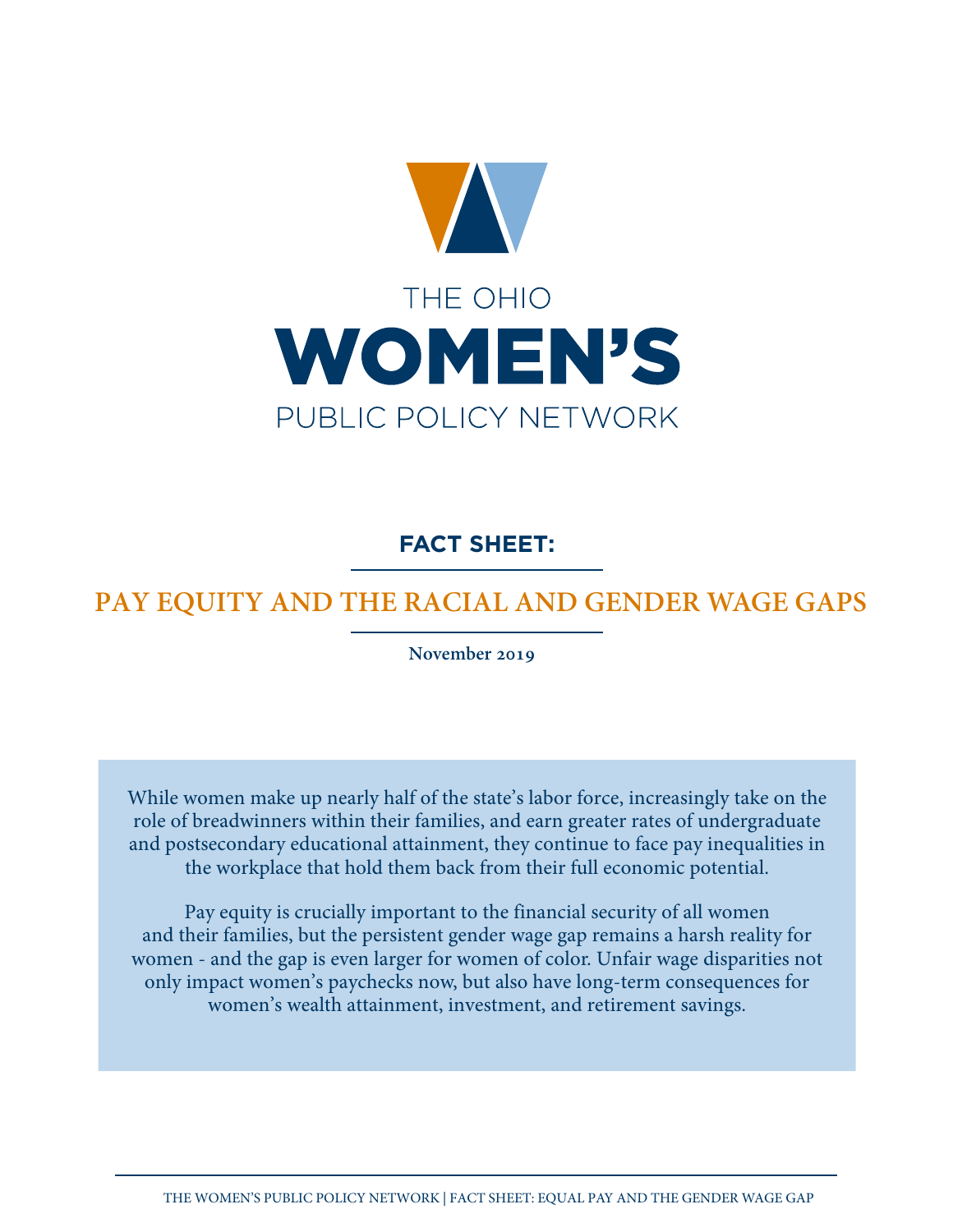

**FACT SHEET:**

# **PAY EQUITY AND THE RACIAL AND GENDER WAGE GAPS**

**November 2019**

While women make up nearly half of the state's labor force, increasingly take on the role of breadwinners within their families, and earn greater rates of undergraduate and postsecondary educational attainment, they continue to face pay inequalities in the workplace that hold them back from their full economic potential.

Pay equity is crucially important to the financial security of all women and their families, but the persistent gender wage gap remains a harsh reality for women - and the gap is even larger for women of color. Unfair wage disparities not only impact women's paychecks now, but also have long-term consequences for women's wealth attainment, investment, and retirement savings.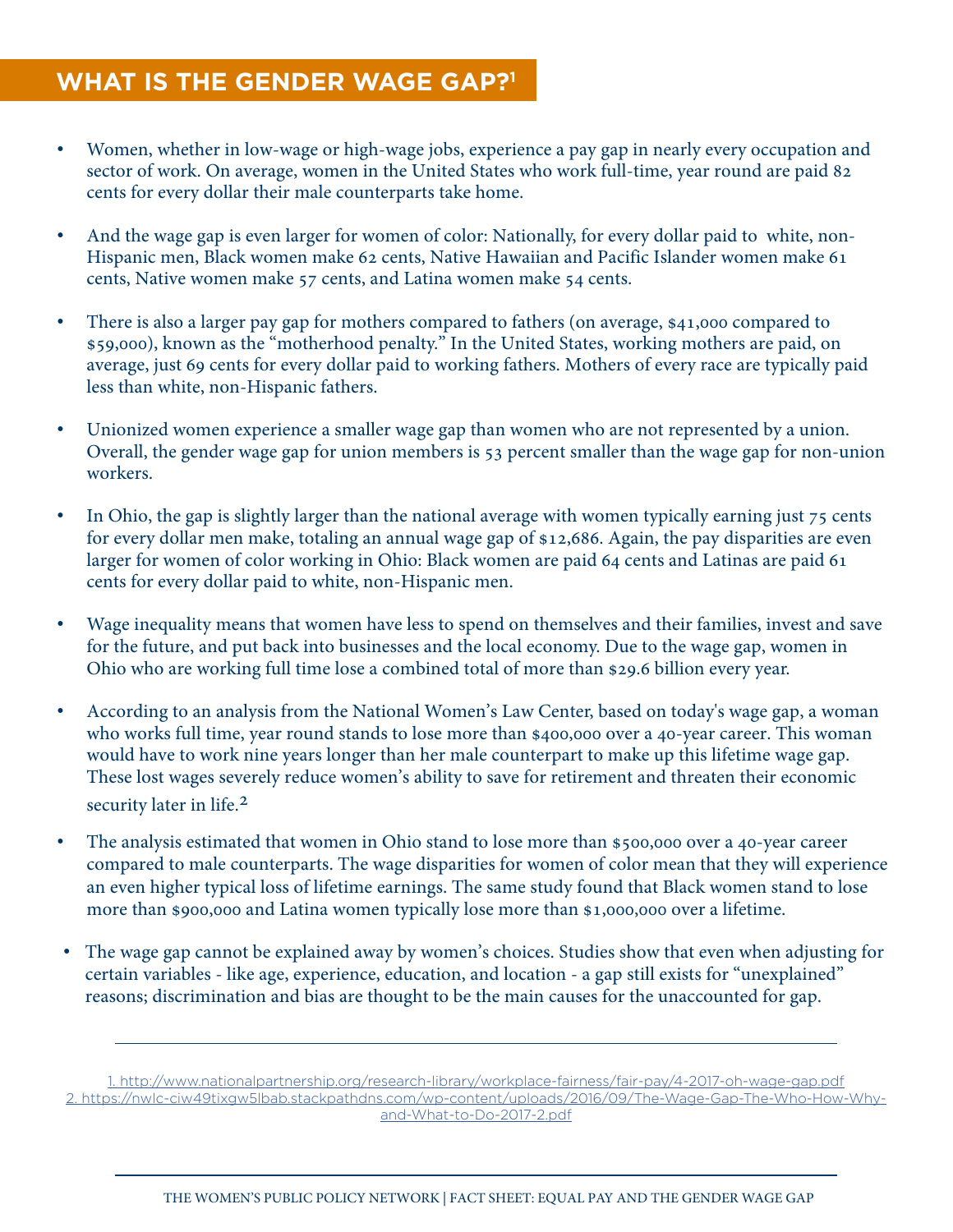### **WHAT IS THE GENDER WAGE GAP?1**

- Women, whether in low-wage or high-wage jobs, experience a pay gap in nearly every occupation and sector of work. On average, women in the United States who work full-time, year round are paid 82 cents for every dollar their male counterparts take home.
- And the wage gap is even larger for women of color: Nationally, for every dollar paid to white, non-Hispanic men, Black women make 62 cents, Native Hawaiian and Pacific Islander women make 61 cents, Native women make 57 cents, and Latina women make 54 cents.
- There is also a larger pay gap for mothers compared to fathers (on average, \$41,000 compared to \$59,000), known as the "motherhood penalty." In the United States, working mothers are paid, on average, just 69 cents for every dollar paid to working fathers. Mothers of every race are typically paid less than white, non-Hispanic fathers.
- Unionized women experience a smaller wage gap than women who are not represented by a union. Overall, the gender wage gap for union members is 53 percent smaller than the wage gap for non-union workers.
- In Ohio, the gap is slightly larger than the national average with women typically earning just 75 cents for every dollar men make, totaling an annual wage gap of \$12,686. Again, the pay disparities are even larger for women of color working in Ohio: Black women are paid 64 cents and Latinas are paid 61 cents for every dollar paid to white, non-Hispanic men.
- Wage inequality means that women have less to spend on themselves and their families, invest and save for the future, and put back into businesses and the local economy. Due to the wage gap, women in Ohio who are working full time lose a combined total of more than \$29.6 billion every year.
- According to an analysis from the National Women's Law Center, based on today's wage gap, a woman who works full time, year round stands to lose more than \$400,000 over a 40-year career. This woman would have to work nine years longer than her male counterpart to make up this lifetime wage gap. These lost wages severely reduce women's ability to save for retirement and threaten their economic security later in life.<sup>2</sup>
- The analysis estimated that women in Ohio stand to lose more than \$500,000 over a 40-year career compared to male counterparts. The wage disparities for women of color mean that they will experience an even higher typical loss of lifetime earnings. The same study found that Black women stand to lose more than \$900,000 and Latina women typically lose more than \$1,000,000 over a lifetime.
- The wage gap cannot be explained away by women's choices. Studies show that even when adjusting for certain variables - like age, experience, education, and location - a gap still exists for "unexplained" reasons; discrimination and bias are thought to be the main causes for the unaccounted for gap.

1. http://www.nationalpartnership.org/research-library/workplace-fairness/fair-pay/4-2017-oh-wage-gap.pdf 2. https://nwlc-ciw49tixgw5lbab.stackpathdns.com/wp-content/uploads/2016/09/The-Wage-Gap-The-Who-How-Whyand-What-to-Do-2017-2.pdf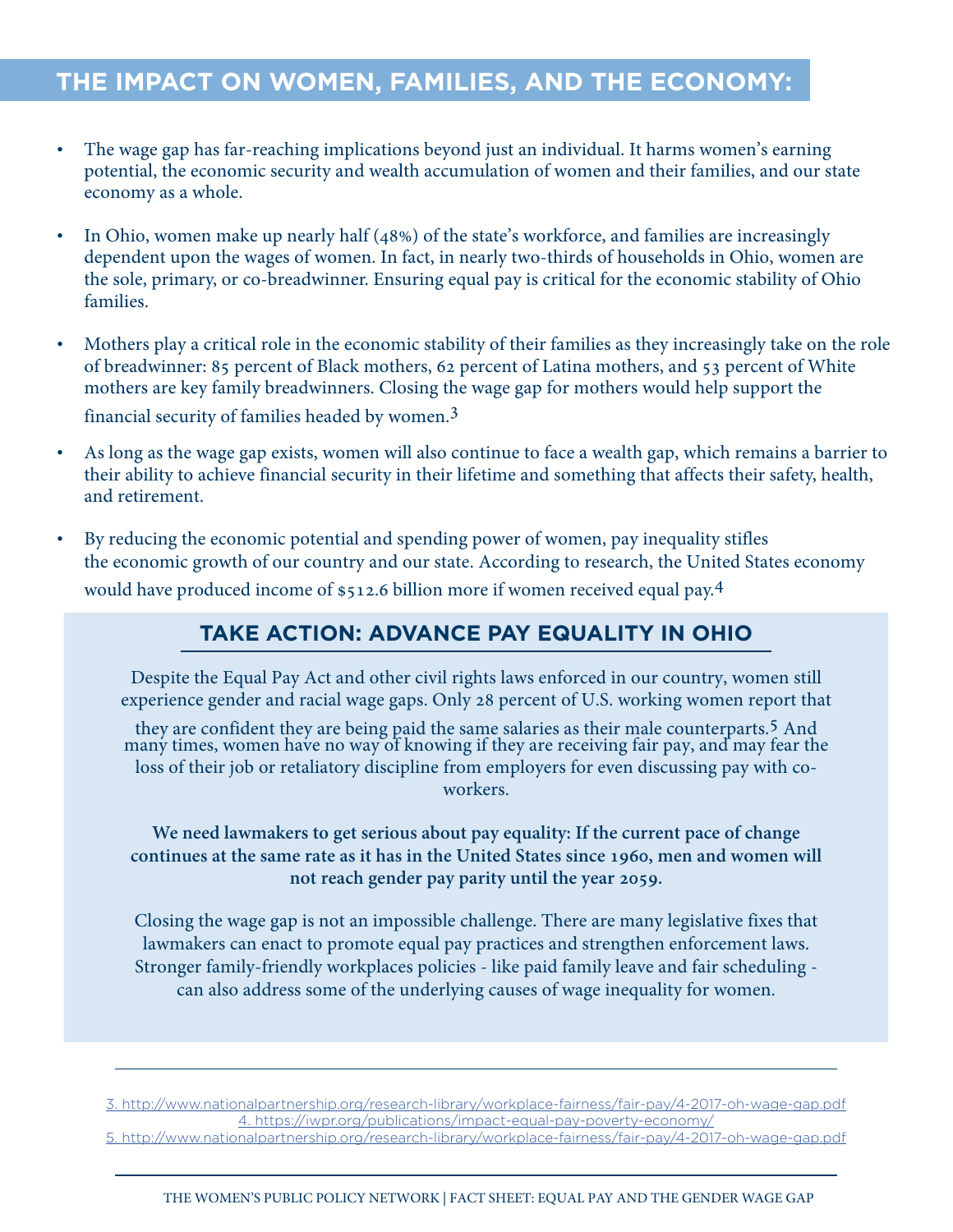# **THE IMPACT ON WOMEN, FAMILIES, AND THE ECONOMY:**

- The wage gap has far-reaching implications beyond just an individual. It harms women's earning potential, the economic security and wealth accumulation of women and their families, and our state economy as a whole.
- In Ohio, women make up nearly half (48%) of the state's workforce, and families are increasingly dependent upon the wages of women. In fact, in nearly two-thirds of households in Ohio, women are the sole, primary, or co-breadwinner. Ensuring equal pay is critical for the economic stability of Ohio families.
- Mothers play a critical role in the economic stability of their families as they increasingly take on the role of breadwinner: 85 percent of Black mothers, 62 percent of Latina mothers, and 53 percent of White mothers are key family breadwinners. Closing the wage gap for mothers would help support the financial security of families headed by women.3
- As long as the wage gap exists, women will also continue to face a wealth gap, which remains a barrier to their ability to achieve financial security in their lifetime and something that affects their safety, health, and retirement.
- By reducing the economic potential and spending power of women, pay inequality stifles the economic growth of our country and our state. According to research, the United States economy would have produced income of \$512.6 billion more if women received equal pay.<sup>4</sup>

### **TAKE ACTION: ADVANCE PAY EQUALITY IN OHIO**

Despite the Equal Pay Act and other civil rights laws enforced in our country, women still experience gender and racial wage gaps. Only 28 percent of U.S. working women report that

they are confident they are being paid the same salaries as their male counterparts.<sup>5</sup> And many times, women have no way of knowing if they are receiving fair pay, and may fear the loss of their job or retaliatory discipline from employers for even discussing pay with coworkers.

**We need lawmakers to get serious about pay equality: If the current pace of change continues at the same rate as it has in the United States since 1960, men and women will not reach gender pay parity until the year 2059.**

Closing the wage gap is not an impossible challenge. There are many legislative fixes that lawmakers can enact to promote equal pay practices and strengthen enforcement laws. Stronger family-friendly workplaces policies - like paid family leave and fair scheduling can also address some of the underlying causes of wage inequality for women.

3. http://www.nationalpartnership.org/research-library/workplace-fairness/fair-pay/4-2017-oh-wage-gap.pdf 4. https://iwpr.org/publications/impact-equal-pay-poverty-economy/ 5. http://www.nationalpartnership.org/research-library/workplace-fairness/fair-pay/4-2017-oh-wage-gap.pdf